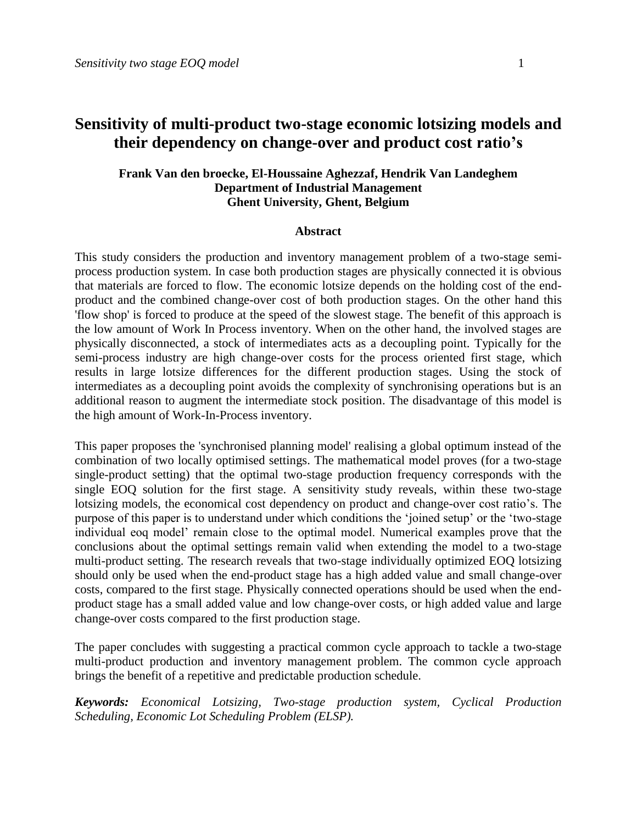# **Sensitivity of multi-product two-stage economic lotsizing models and their dependency on change-over and product cost ratio's**

#### **Frank Van den broecke, El-Houssaine Aghezzaf, Hendrik Van Landeghem Department of Industrial Management Ghent University, Ghent, Belgium**

#### **Abstract**

This study considers the production and inventory management problem of a two-stage semiprocess production system. In case both production stages are physically connected it is obvious that materials are forced to flow. The economic lotsize depends on the holding cost of the endproduct and the combined change-over cost of both production stages. On the other hand this 'flow shop' is forced to produce at the speed of the slowest stage. The benefit of this approach is the low amount of Work In Process inventory. When on the other hand, the involved stages are physically disconnected, a stock of intermediates acts as a decoupling point. Typically for the semi-process industry are high change-over costs for the process oriented first stage, which results in large lotsize differences for the different production stages. Using the stock of intermediates as a decoupling point avoids the complexity of synchronising operations but is an additional reason to augment the intermediate stock position. The disadvantage of this model is the high amount of Work-In-Process inventory.

This paper proposes the 'synchronised planning model' realising a global optimum instead of the combination of two locally optimised settings. The mathematical model proves (for a two-stage single-product setting) that the optimal two-stage production frequency corresponds with the single EOQ solution for the first stage. A sensitivity study reveals, within these two-stage lotsizing models, the economical cost dependency on product and change-over cost ratio's. The purpose of this paper is to understand under which conditions the "joined setup" or the "two-stage individual eoq model" remain close to the optimal model. Numerical examples prove that the conclusions about the optimal settings remain valid when extending the model to a two-stage multi-product setting. The research reveals that two-stage individually optimized EOQ lotsizing should only be used when the end-product stage has a high added value and small change-over costs, compared to the first stage. Physically connected operations should be used when the endproduct stage has a small added value and low change-over costs, or high added value and large change-over costs compared to the first production stage.

The paper concludes with suggesting a practical common cycle approach to tackle a two-stage multi-product production and inventory management problem. The common cycle approach brings the benefit of a repetitive and predictable production schedule.

*Keywords: Economical Lotsizing, Two-stage production system, Cyclical Production Scheduling, Economic Lot Scheduling Problem (ELSP).*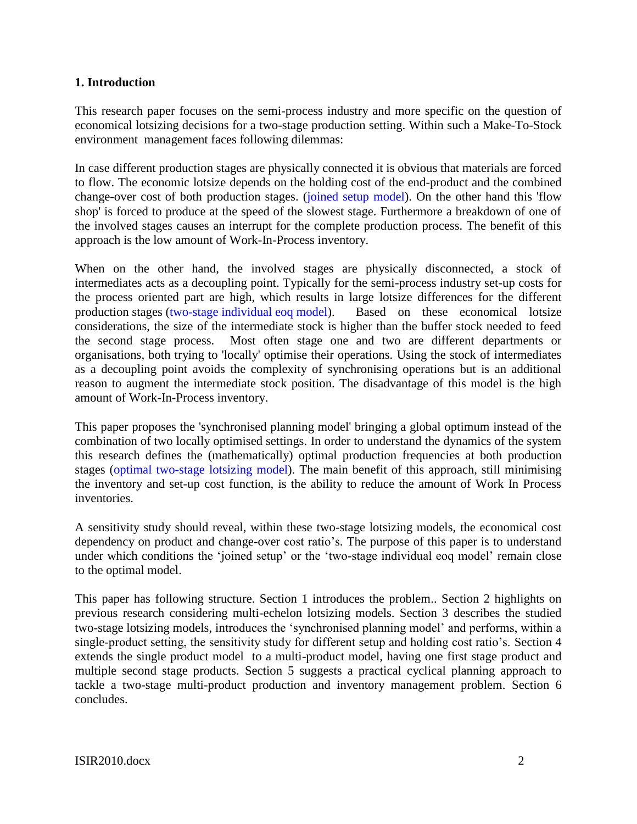## **1. Introduction**

This research paper focuses on the semi-process industry and more specific on the question of economical lotsizing decisions for a two-stage production setting. Within such a Make-To-Stock environment management faces following dilemmas:

In case different production stages are physically connected it is obvious that materials are forced to flow. The economic lotsize depends on the holding cost of the end-product and the combined change-over cost of both production stages. (joined setup model). On the other hand this 'flow shop' is forced to produce at the speed of the slowest stage. Furthermore a breakdown of one of the involved stages causes an interrupt for the complete production process. The benefit of this approach is the low amount of Work-In-Process inventory.

When on the other hand, the involved stages are physically disconnected, a stock of intermediates acts as a decoupling point. Typically for the semi-process industry set-up costs for the process oriented part are high, which results in large lotsize differences for the different production stages (two-stage individual eoq model). Based on these economical lotsize considerations, the size of the intermediate stock is higher than the buffer stock needed to feed the second stage process. Most often stage one and two are different departments or organisations, both trying to 'locally' optimise their operations. Using the stock of intermediates as a decoupling point avoids the complexity of synchronising operations but is an additional reason to augment the intermediate stock position. The disadvantage of this model is the high amount of Work-In-Process inventory.

This paper proposes the 'synchronised planning model' bringing a global optimum instead of the combination of two locally optimised settings. In order to understand the dynamics of the system this research defines the (mathematically) optimal production frequencies at both production stages (optimal two-stage lotsizing model). The main benefit of this approach, still minimising the inventory and set-up cost function, is the ability to reduce the amount of Work In Process inventories.

A sensitivity study should reveal, within these two-stage lotsizing models, the economical cost dependency on product and change-over cost ratio's. The purpose of this paper is to understand under which conditions the 'joined setup' or the 'two-stage individual eoq model' remain close to the optimal model.

This paper has following structure. Section 1 introduces the problem.. Section 2 highlights on previous research considering multi-echelon lotsizing models. Section 3 describes the studied two-stage lotsizing models, introduces the "synchronised planning model" and performs, within a single-product setting, the sensitivity study for different setup and holding cost ratio's. Section 4 extends the single product model to a multi-product model, having one first stage product and multiple second stage products. Section 5 suggests a practical cyclical planning approach to tackle a two-stage multi-product production and inventory management problem. Section 6 concludes.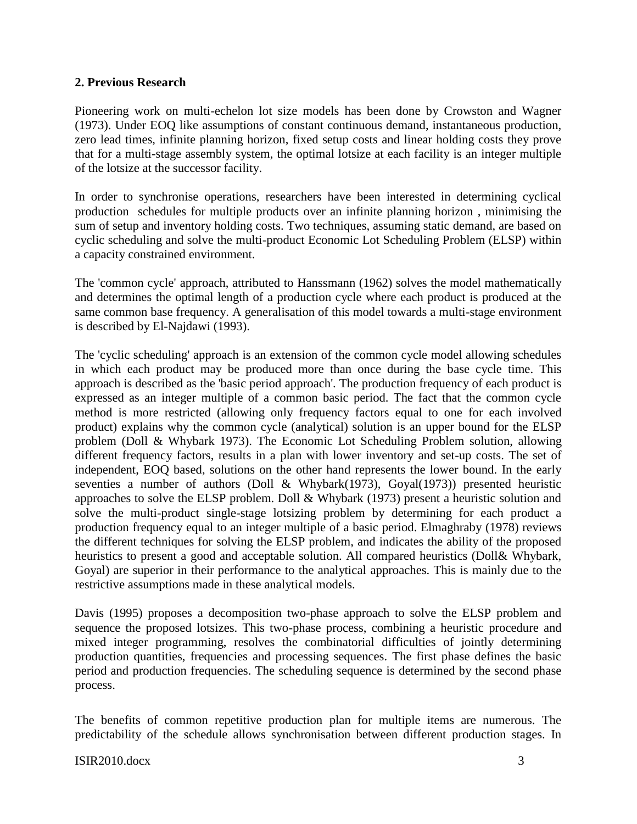## **2. Previous Research**

Pioneering work on multi-echelon lot size models has been done by Crowston and Wagner (1973). Under EOQ like assumptions of constant continuous demand, instantaneous production, zero lead times, infinite planning horizon, fixed setup costs and linear holding costs they prove that for a multi-stage assembly system, the optimal lotsize at each facility is an integer multiple of the lotsize at the successor facility.

In order to synchronise operations, researchers have been interested in determining cyclical production schedules for multiple products over an infinite planning horizon , minimising the sum of setup and inventory holding costs. Two techniques, assuming static demand, are based on cyclic scheduling and solve the multi-product Economic Lot Scheduling Problem (ELSP) within a capacity constrained environment.

The 'common cycle' approach, attributed to Hanssmann (1962) solves the model mathematically and determines the optimal length of a production cycle where each product is produced at the same common base frequency. A generalisation of this model towards a multi-stage environment is described by El-Najdawi (1993).

The 'cyclic scheduling' approach is an extension of the common cycle model allowing schedules in which each product may be produced more than once during the base cycle time. This approach is described as the 'basic period approach'. The production frequency of each product is expressed as an integer multiple of a common basic period. The fact that the common cycle method is more restricted (allowing only frequency factors equal to one for each involved product) explains why the common cycle (analytical) solution is an upper bound for the ELSP problem (Doll & Whybark 1973). The Economic Lot Scheduling Problem solution, allowing different frequency factors, results in a plan with lower inventory and set-up costs. The set of independent, EOQ based, solutions on the other hand represents the lower bound. In the early seventies a number of authors (Doll & Whybark(1973), Goyal(1973)) presented heuristic approaches to solve the ELSP problem. Doll & Whybark (1973) present a heuristic solution and solve the multi-product single-stage lotsizing problem by determining for each product a production frequency equal to an integer multiple of a basic period. Elmaghraby (1978) reviews the different techniques for solving the ELSP problem, and indicates the ability of the proposed heuristics to present a good and acceptable solution. All compared heuristics (Doll& Whybark, Goyal) are superior in their performance to the analytical approaches. This is mainly due to the restrictive assumptions made in these analytical models.

Davis (1995) proposes a decomposition two-phase approach to solve the ELSP problem and sequence the proposed lotsizes. This two-phase process, combining a heuristic procedure and mixed integer programming, resolves the combinatorial difficulties of jointly determining production quantities, frequencies and processing sequences. The first phase defines the basic period and production frequencies. The scheduling sequence is determined by the second phase process.

The benefits of common repetitive production plan for multiple items are numerous. The predictability of the schedule allows synchronisation between different production stages. In

#### ISIR2010.docx 3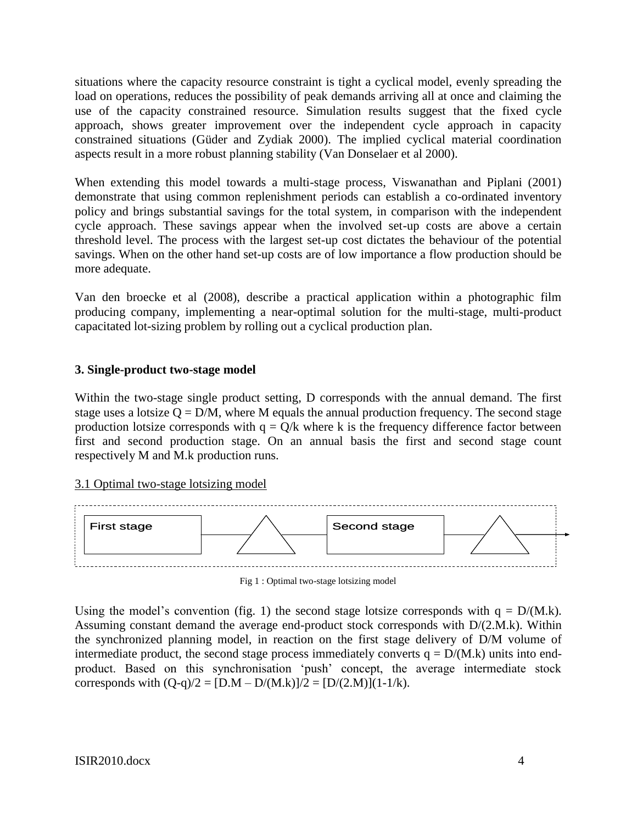situations where the capacity resource constraint is tight a cyclical model, evenly spreading the load on operations, reduces the possibility of peak demands arriving all at once and claiming the use of the capacity constrained resource. Simulation results suggest that the fixed cycle approach, shows greater improvement over the independent cycle approach in capacity constrained situations (Güder and Zydiak 2000). The implied cyclical material coordination aspects result in a more robust planning stability (Van Donselaer et al 2000).

When extending this model towards a multi-stage process, Viswanathan and Piplani (2001) demonstrate that using common replenishment periods can establish a co-ordinated inventory policy and brings substantial savings for the total system, in comparison with the independent cycle approach. These savings appear when the involved set-up costs are above a certain threshold level. The process with the largest set-up cost dictates the behaviour of the potential savings. When on the other hand set-up costs are of low importance a flow production should be more adequate.

Van den broecke et al (2008), describe a practical application within a photographic film producing company, implementing a near-optimal solution for the multi-stage, multi-product capacitated lot-sizing problem by rolling out a cyclical production plan.

### **3. Single-product two-stage model**

Within the two-stage single product setting, D corresponds with the annual demand. The first stage uses a lotsize  $Q = D/M$ , where M equals the annual production frequency. The second stage production lotsize corresponds with  $q = Q/k$  where k is the frequency difference factor between first and second production stage. On an annual basis the first and second stage count respectively M and M.k production runs.

### 3.1 Optimal two-stage lotsizing model



Fig 1 : Optimal two-stage lotsizing model

Using the model's convention (fig. 1) the second stage lotsize corresponds with  $q = D/M.k$ ). Assuming constant demand the average end-product stock corresponds with D/(2.M.k). Within the synchronized planning model, in reaction on the first stage delivery of D/M volume of intermediate product, the second stage process immediately converts  $q = D/(M.k)$  units into endproduct. Based on this synchronisation "push" concept, the average intermediate stock corresponds with  $(Q-q)/2 = [D.M - D/(M.k)]/2 = [D/(2.M)](1-1/k)$ .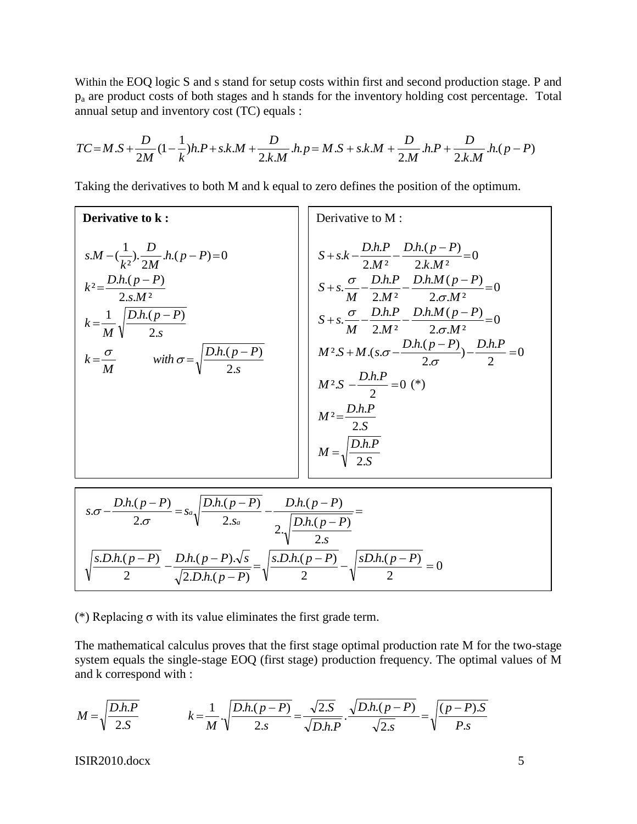Within the EOQ logic S and s stand for setup costs within first and second production stage. P and p<sup>a</sup> are product costs of both stages and h stands for the inventory holding cost percentage. Total annual setup and inventory cost (TC) equals :

$$
TC = M.S + \frac{D}{2M}(1 - \frac{1}{k})h.P + s.k.M + \frac{D}{2.k.M}.h.p = M.S + s.k.M + \frac{D}{2.M}.h.P + \frac{D}{2.k.M}.h.(p - P)
$$

Taking the derivatives to both M and k equal to zero defines the position of the optimum.

Derivative to k :  
\n
$$
s.M - (\frac{1}{k^2}) \cdot \frac{D}{2M} \cdot h(p - P) = 0
$$
  
\n $k^2 = \frac{D \cdot h(p - P)}{2 \cdot s.M^2}$   
\n $k = \frac{1}{M} \sqrt{\frac{D \cdot h(p - P)}{2 \cdot s}}$   
\n $k = \frac{\sigma}{M}$  with  $\sigma = \sqrt{\frac{D \cdot h(p - P)}{2 \cdot s}}$   
\n $\frac{D \cdot h(p - P)}{2 \cdot s}$   
\n $\frac{\sigma}{M} = \frac{D \cdot h(p - P)}{2 \cdot s}$   
\n $M^2 \cdot S + M \cdot (s \cdot \sigma - \frac{D \cdot h \cdot P}{2 \cdot \sigma} - \frac{D \cdot h \cdot N(p - P)}{2 \cdot \sigma}) = 0$   
\n $M^2 \cdot S + M \cdot (s \cdot \sigma - \frac{D \cdot h \cdot (p - P)}{2 \cdot \sigma}) - \frac{D \cdot h \cdot P}{2 \cdot \sigma} = 0$   
\n $M^2 \cdot S - \frac{D \cdot h \cdot P}{2 \cdot \sigma} = 0$  (\*)  
\n $M^2 = \frac{D \cdot h \cdot P}{2 \cdot \sigma}$   
\n $M^2 = \frac{D \cdot h \cdot P}{2 \cdot \sigma}$   
\n $M^2 = \frac{D \cdot h \cdot P}{2 \cdot \sigma}$ 

$$
s.\sigma - \frac{D.h.(p-P)}{2.\sigma} = s_a \sqrt{\frac{D.h.(p-P)}{2.s_a}} - \frac{D.h.(p-P)}{2.\sqrt{\frac{D.h.(p-P)}{2.s}}}
$$

$$
\sqrt{\frac{s.D.h.(p-P)}{2}} - \frac{D.h.(p-P).\sqrt{s}}{\sqrt{2.D.h.(p-P)}} = \sqrt{\frac{s.D.h.(p-P)}{2}} - \sqrt{\frac{sD.h.(p-P)}{2}} = 0
$$

(\*) Replacing σ with its value eliminates the first grade term.

The mathematical calculus proves that the first stage optimal production rate M for the two-stage system equals the single-stage EOQ (first stage) production frequency. The optimal values of M and k correspond with :

$$
M = \sqrt{\frac{D.h.P}{2.S}} \qquad k = \frac{1}{M} \cdot \sqrt{\frac{D.h.(p-P)}{2.s}} = \frac{\sqrt{2.S}}{\sqrt{D.h.P}} \cdot \frac{\sqrt{D.h.(p-P)}}{\sqrt{2.s}} = \sqrt{\frac{(p-P).S}{P.s}}
$$

ISIR2010.docx 5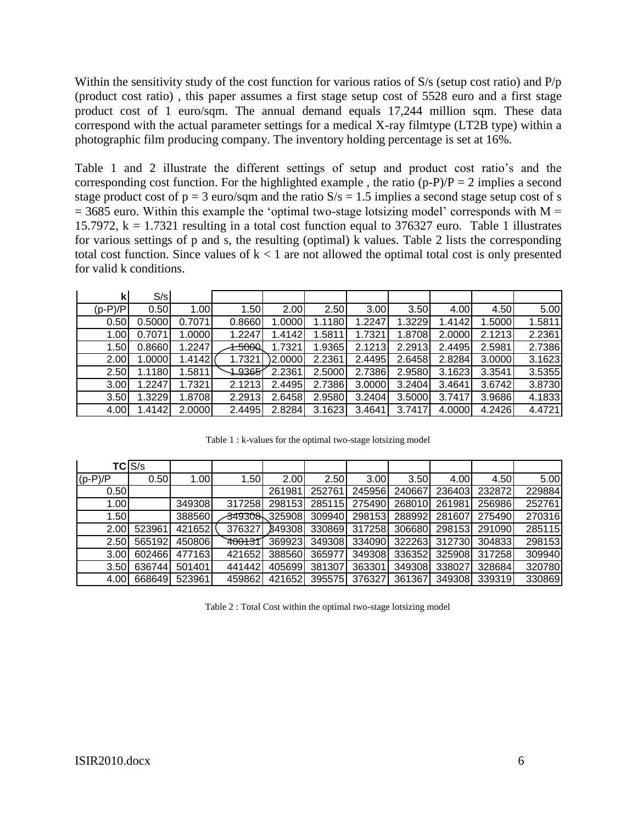Within the sensitivity study of the cost function for various ratios of S/s (setup cost ratio) and P/p (product cost ratio) , this paper assumes a first stage setup cost of 5528 euro and a first stage product cost of 1 euro/sqm. The annual demand equals 17,244 million sqm. These data correspond with the actual parameter settings for a medical X-ray filmtype (LT2B type) within a photographic film producing company. The inventory holding percentage is set at 16%.

Table 1 and 2 illustrate the different settings of setup and product cost ratio"s and the corresponding cost function. For the highlighted example, the ratio  $(p-P)/P = 2$  implies a second stage product cost of  $p = 3$  euro/sqm and the ratio  $S/s = 1.5$  implies a second stage setup cost of s  $= 3685$  euro. Within this example the 'optimal two-stage lotsizing model' corresponds with M = 15.7972,  $k = 1.7321$  resulting in a total cost function equal to 376327 euro. Table 1 illustrates for various settings of p and s, the resulting (optimal) k values. Table 2 lists the corresponding total cost function. Since values of  $k < 1$  are not allowed the optimal total cost is only presented for valid k conditions.

| k         | S/s    |        |               |                         |        |                   |        |        |        |        |
|-----------|--------|--------|---------------|-------------------------|--------|-------------------|--------|--------|--------|--------|
| $(p-P)/P$ | 0.50   | 1.00   | 1.50          | 2.00                    | 2.50   | 3.00 <sub>l</sub> | 3.50   | 4.00   | 4.50   | 5.00   |
| 0.50      | 0.5000 | 0.7071 | 0.8660        | .0000                   | 1.1180 | 1.2247            | 1.3229 | l.4142 | 1.5000 | 1.5811 |
| 1.00      | 0.7071 | 1.0000 | 1.2247        | .4142                   | 1.5811 | 1.7321            | .8708  | 2.0000 | 2.1213 | 2.2361 |
| 1.50      | 0.8660 | 1.2247 | <b>1.5000</b> | 1.7321                  | 1.9365 | 2.1213            | 2.2913 | 2.4495 | 2.5981 | 2.7386 |
| 2.00      | 1.0000 | 1.4142 | 1.7321        | $\left. \right)$ 2.0000 | 2.2361 | 2.4495            | 2.6458 | 2.8284 | 3.0000 | 3.1623 |
| 2.50      | 1.1180 | .5811  | 1.9365        | 2.2361                  | 2.5000 | 2.7386            | 2.9580 | 3.1623 | 3.3541 | 3.5355 |
| 3.00      | 1.2247 | 1.7321 | 2.1213        | 2.4495                  | 2.7386 | 3.0000            | 3.2404 | 3.4641 | 3.6742 | 3.8730 |
| 3.50      | 1.3229 | .8708  | 2.2913        | 2.6458                  | 2.9580 | 3.2404            | 3.5000 | 3.7417 | 3.9686 | 4.1833 |
| 4.00      | 1.4142 | 2.0000 | 2.4495        | 2.8284                  | 3.1623 | 3.4641            | 3.7417 | 4.0000 | 4.2426 | 4.4721 |

Table 1 : k-values for the optimal two-stage lotsizing model

|           | TCIS/s |        |                      |        |        |        |        |        |        |        |
|-----------|--------|--------|----------------------|--------|--------|--------|--------|--------|--------|--------|
| $(p-P)/P$ | 0.50   | 1.00   | 1.50                 | 2.00   | 2.50   | 3.001  | 3.50   | 4.00   | 4.50   | 5.00   |
| 0.50      |        |        |                      | 261981 | 252761 | 245956 | 240667 | 236403 | 232872 | 229884 |
| 1.00      |        | 349308 | 317258               | 298153 | 285115 | 275490 | 268010 | 261981 | 256986 | 252761 |
| 1.50      |        | 388560 | 3493081              | 325908 | 309940 | 298153 | 288992 | 281607 | 275490 | 270316 |
| 2.00      | 523961 | 421652 | 376327               | B49308 | 330869 | 317258 | 306680 | 298153 | 291090 | 285115 |
| 2.50      | 565192 | 450806 | 7 <del>10013</del> 1 | 369923 | 349308 | 334090 | 322263 | 312730 | 304833 | 298153 |
| 3.00      | 602466 | 477163 | 421652               | 388560 | 365977 | 349308 | 336352 | 325908 | 317258 | 309940 |
| 3.50      | 636744 | 501401 | 441442               | 405699 | 381307 | 363301 | 349308 | 338027 | 328684 | 320780 |
| 4.00      | 668649 | 523961 | 459862               | 421652 | 395575 | 376327 | 361367 | 349308 | 339319 | 330869 |

Table 2 : Total Cost within the optimal two-stage lotsizing model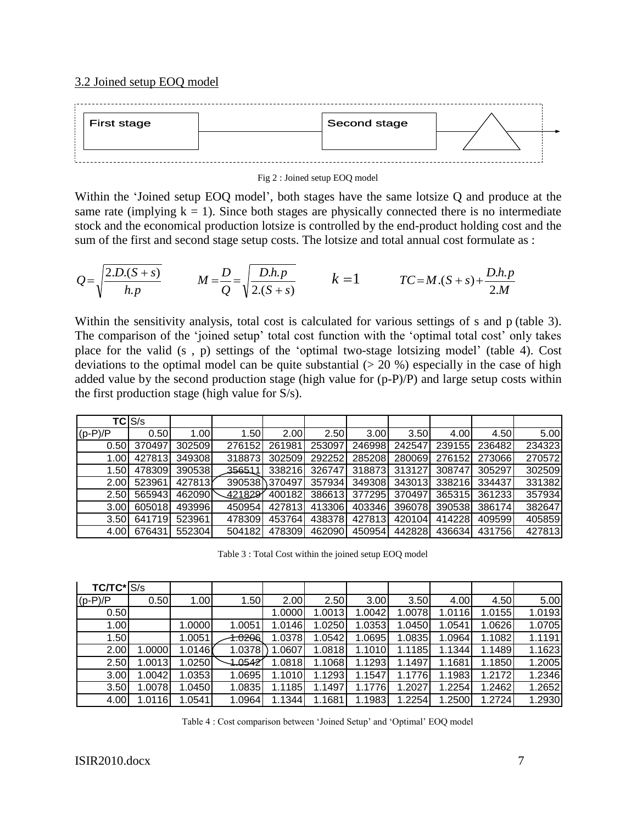#### 3.2 Joined setup EOQ model



Fig 2 : Joined setup EOQ model

Within the "Joined setup EOQ model", both stages have the same lotsize Q and produce at the same rate (implying  $k = 1$ ). Since both stages are physically connected there is no intermediate stock and the economical production lotsize is controlled by the end-product holding cost and the sum of the first and second stage setup costs. The lotsize and total annual cost formulate as :

$$
Q = \sqrt{\frac{2.D(S+s)}{h.p}} \qquad \qquad M = \frac{D}{Q} = \sqrt{\frac{D.h.p}{2.(S+s)}} \qquad \qquad k = 1 \qquad \qquad TC = M.(S+s) + \frac{D.h.p}{2.M}
$$

Within the sensitivity analysis, total cost is calculated for various settings of s and p (table 3). The comparison of the 'joined setup' total cost function with the 'optimal total cost' only takes place for the valid (s , p) settings of the "optimal two-stage lotsizing model" (table 4). Cost deviations to the optimal model can be quite substantial  $(> 20 \%)$  especially in the case of high added value by the second production stage (high value for (p-P)/P) and large setup costs within the first production stage (high value for S/s).

|           | TC S/s |                   |         |               |        |                   |        |        |        |        |
|-----------|--------|-------------------|---------|---------------|--------|-------------------|--------|--------|--------|--------|
| $(p-P)/P$ | 0.50   | 1.00 <sub>l</sub> | 1.50    | 2.00          | 2.50   | 3.00 <sub>l</sub> | 3.50   | 4.00   | 4.50l  | 5.00   |
| 0.50      | 370497 | 302509            | 276152  | 261981        | 253097 | 246998            | 242547 | 239155 | 236482 | 234323 |
| 1.00l     | 427813 | 349308            | 318873  | 302509        | 292252 | 285208            | 280069 | 276152 | 273066 | 270572 |
| 1.50l     | 478309 | 390538            | 356511  | 338216        | 326747 | 3188731           | 313127 | 308747 | 305297 | 302509 |
| 2.00      | 523961 | 427813Y           |         | 390538 370497 | 357934 | 349308            | 343013 | 338216 | 334437 | 331382 |
| 2.50      | 565943 | 462090            | 421829Y | 400182        | 386613 | 377295            | 370497 | 365315 | 361233 | 357934 |
| 3.00      | 605018 | 493996            | 450954  | 427813        | 413306 | 403346            | 396078 | 390538 | 386174 | 382647 |
| 3.50      | 641719 | 523961            | 478309  | 453764        | 438378 | 427813            | 420104 | 414228 | 409599 | 405859 |
| 4.00      | 676431 | 552304            | 504182  | 478309        | 462090 | 450954            | 442828 | 436634 | 431756 | 427813 |

Table 3 : Total Cost within the joined setup EOQ model

| $TC/TC^*$ $S/s$ |        |        |         |        |        |                   |         |        |        |        |
|-----------------|--------|--------|---------|--------|--------|-------------------|---------|--------|--------|--------|
| $(p-P)/P$       | 0.50   | 1.00   | 1.50    | 2.00   | 2.50   | 3.00 <sub>l</sub> | 3.50    | 4.00   | 4.50   | 5.00   |
| 0.50            |        |        |         | 1.0000 | 1.0013 | 1.0042            | 1.00781 | 1.0116 | 1.0155 | 1.0193 |
| 1.00            |        | 1.0000 | 1.0051  | 1.0146 | 1.0250 | 1.0353            | 1.0450  | 1.0541 | 1.0626 | 1.0705 |
| 1.50            |        | 1.0051 | 1.0206  | 1.0378 | 1.0542 | 1.0695            | 1.0835  | 1.0964 | 1.1082 | 1.1191 |
| 2.00            | 1.0000 | 1.0146 | 1.0378  | 1.0607 | 1.0818 | 1.1010            | 1.1185  | 1.1344 | 1.1489 | 1.1623 |
| 2.50            | 1.0013 | 1.0250 | 1.05421 | 1.0818 | 1.1068 | 1.1293            | 1.1497  | 1.1681 | 1.1850 | 1.2005 |
| 3.00            | 1.0042 | 1.0353 | 1.0695  | 1.1010 | 1.1293 | 1.1547            | 1.1776  | 1.1983 | 1.2172 | 1.2346 |
| 3.50            | 1.0078 | 1.0450 | 1.0835  | 1.1185 | 1.1497 | 1.1776            | .2027   | .2254  | 1.2462 | 1.2652 |
| 4.00            | 1.0116 | .0541  | 1.0964  | 1.1344 | 1.1681 | 1.1983            | .2254   | .2500  | 1.2724 | 1.2930 |

Table 4 : Cost comparison between "Joined Setup" and "Optimal" EOQ model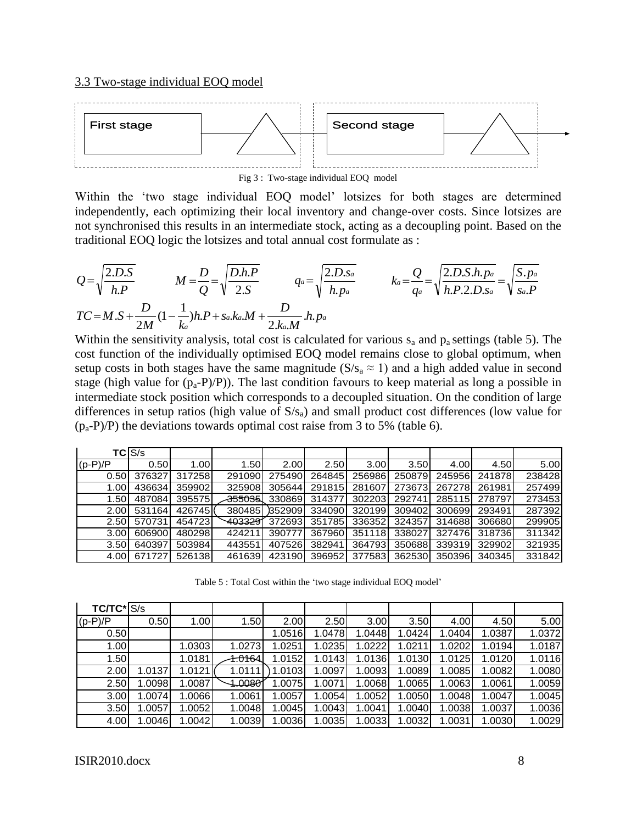

Fig 3 : Two-stage individual EOQ model

Within the 'two stage individual EOQ model' lotsizes for both stages are determined independently, each optimizing their local inventory and change-over costs. Since lotsizes are not synchronised this results in an intermediate stock, acting as a decoupling point. Based on the traditional EOQ logic the lotsizes and total annual cost formulate as :

$$
Q = \sqrt{\frac{2.D.S}{h.P}} \qquad M = \frac{D}{Q} = \sqrt{\frac{D.h.P}{2.S}} \qquad q_a = \sqrt{\frac{2.D.s_a}{h.p_a}} \qquad k_a = \frac{Q}{q_a} = \sqrt{\frac{2.D.S.h.p_a}{h.P.2.D.s_a}} = \sqrt{\frac{S.p_a}{s_a.P}}
$$
  

$$
TC = M.S + \frac{D}{2M}(1 - \frac{1}{k_a})h.P + s_a.k_a.M + \frac{D}{2.k_a.M}.h.p_a
$$

Within the sensitivity analysis, total cost is calculated for various  $s_a$  and  $p_a$  settings (table 5). The cost function of the individually optimised EOQ model remains close to global optimum, when setup costs in both stages have the same magnitude ( $S/s_a \approx 1$ ) and a high added value in second stage (high value for  $(p_a-P)/P$ ). The last condition favours to keep material as long a possible in intermediate stock position which corresponds to a decoupled situation. On the condition of large differences in setup ratios (high value of  $S/s_a$ ) and small product cost differences (low value for  $(p_a-P)/P$ ) the deviations towards optimal cost raise from 3 to 5% (table 6).

|                   | <b>TCIS/s</b> |        |         |               |                  |        |        |        |        |        |
|-------------------|---------------|--------|---------|---------------|------------------|--------|--------|--------|--------|--------|
| $(p-P)/P$         | 0.50          | 1.00   | 1.50    | 2.00          | 2.50             | 3.00   | 3.50   | 4.00   | 4.50   | 5.00   |
| 0.50              | 376327        | 317258 | 291090  | 275490        | 264845           | 256986 | 250879 | 245956 | 241878 | 238428 |
| 1.00 <sub>l</sub> | 436634        | 359902 | 325908  | 305644        | 291815           | 281607 | 273673 | 267278 | 261981 | 257499 |
| 1.50              | 487084        | 395575 |         | 355035 330869 | 314377           | 302203 | 292741 | 285115 | 278797 | 273453 |
| 2.00              | 531164        | 426745 |         | 380485 352909 | $\boxed{334090}$ | 320199 | 309402 | 300699 | 293491 | 287392 |
| 2.50I             | 570731        | 454723 | 4033291 | 372693        | 351785           | 336352 | 324357 | 314688 | 306680 | 299905 |
| 3.00              | 606900        | 480298 | 424211  | 390777        | 367960           | 351118 | 338027 | 327476 | 318736 | 311342 |
| 3.50              | 640397        | 503984 | 443551  | 407526        | 382941           | 364793 | 350688 | 339319 | 329902 | 321935 |
| 4.00              | 671727        | 526138 | 461639  | 423190        | 396952           | 377583 | 362530 | 350396 | 340345 | 331842 |

Table 5 : Total Cost within the 'two stage individual EOQ model'

| $TC/TC^*$ S/s |        |        |                     |        |        |        |        |        |        |        |
|---------------|--------|--------|---------------------|--------|--------|--------|--------|--------|--------|--------|
| $(p-P)/P$     | 0.50   | 1.00   | 1.50                | 2.00   | 2.50   | 3.00   | 3.50   | 4.00   | 4.50   | 5.00   |
| 0.50          |        |        |                     | 1.0516 | 1.0478 | .0448  | 1.0424 | 1.0404 | 1.0387 | 1.0372 |
| 1.00          |        | 1.0303 | 1.0273              | 1.0251 | 1.0235 | 1.0222 | 1.021  | .0202  | 1.0194 | 1.0187 |
| 1.50          |        | 1.0181 | 4 <del>.016</del> 4 | 1.0152 | 1.0143 | 1.0136 | 1.0130 | 1.0125 | 1.0120 | 1.0116 |
| 2.00          | 1.0137 | 1.0121 | 1.0111              | .0103  | 1.0097 | 1.0093 | 1.0089 | 1.0085 | 1.0082 | 1.0080 |
| 2.50          | 1.0098 | 1.0087 | 4.00801             | .0075  | 1.0071 | 1.0068 | 1.0065 | 1.0063 | 1.0061 | 1.0059 |
| 3.00          | 1.0074 | .0066  | 1.0061              | 1.0057 | 1.0054 | 1.0052 | 1.0050 | 1.0048 | 1.0047 | 1.0045 |
| 3.50          | 1.0057 | .0052  | 1.0048              | 1.0045 | 1.0043 | 1.0041 | 1.0040 | 1.0038 | 1.0037 | 1.0036 |
| 4.00          | 1.0046 | 1.0042 | 1.0039              | .0036  | 1.0035 | 1.0033 | 1.0032 | 1.0031 | 1.0030 | 1.0029 |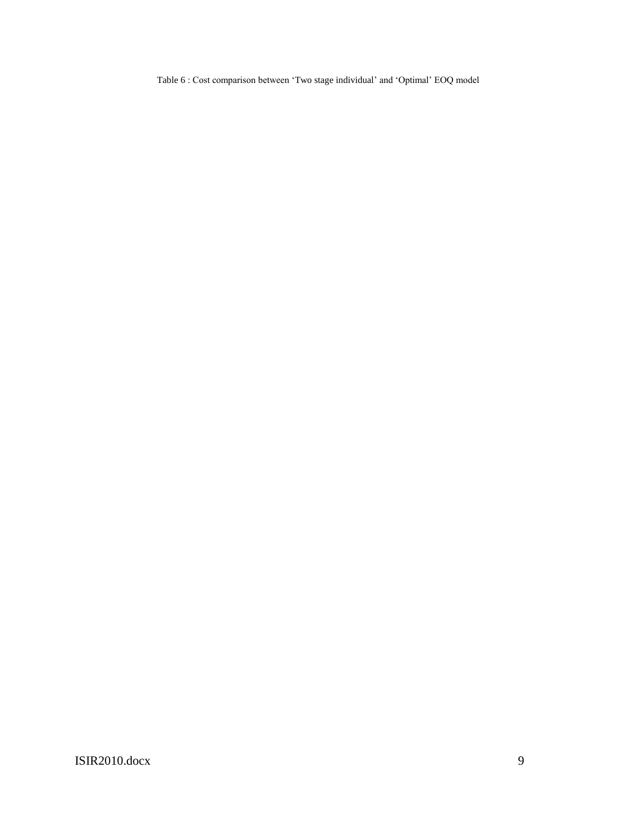Table 6 : Cost comparison between "Two stage individual" and "Optimal" EOQ model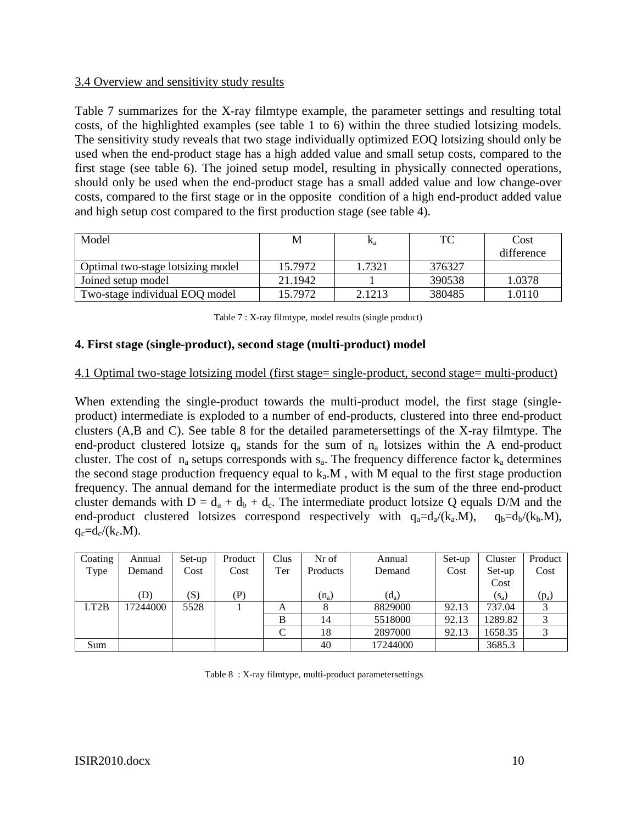#### 3.4 Overview and sensitivity study results

Table 7 summarizes for the X-ray filmtype example, the parameter settings and resulting total costs, of the highlighted examples (see table 1 to 6) within the three studied lotsizing models. The sensitivity study reveals that two stage individually optimized EOQ lotsizing should only be used when the end-product stage has a high added value and small setup costs, compared to the first stage (see table 6). The joined setup model, resulting in physically connected operations, should only be used when the end-product stage has a small added value and low change-over costs, compared to the first stage or in the opposite condition of a high end-product added value and high setup cost compared to the first production stage (see table 4).

| Model                             | М       | $\mathbf{r}_\mathrm{a}$ | TC     | Cost       |
|-----------------------------------|---------|-------------------------|--------|------------|
|                                   |         |                         |        | difference |
| Optimal two-stage lotsizing model | 15.7972 | 1.7321                  | 376327 |            |
| Joined setup model                | 21.1942 |                         | 390538 | 1.0378     |
| Two-stage individual EOQ model    | 15.7972 | 2.1213                  | 380485 | 1.0110     |

| Table 7 : X-ray filmtype, model results (single product) |  |  |  |
|----------------------------------------------------------|--|--|--|

### **4. First stage (single-product), second stage (multi-product) model**

#### 4.1 Optimal two-stage lotsizing model (first stage= single-product, second stage= multi-product)

When extending the single-product towards the multi-product model, the first stage (singleproduct) intermediate is exploded to a number of end-products, clustered into three end-product clusters (A,B and C). See table 8 for the detailed parametersettings of the X-ray filmtype. The end-product clustered lotsize  $q_a$  stands for the sum of  $n_a$  lotsizes within the A end-product cluster. The cost of  $n_a$  setups corresponds with  $s_a$ . The frequency difference factor  $k_a$  determines the second stage production frequency equal to  $k_a$ .M, with M equal to the first stage production frequency. The annual demand for the intermediate product is the sum of the three end-product cluster demands with  $D = d_a + d_b + d_c$ . The intermediate product lotsize Q equals D/M and the end-product clustered lotsizes correspond respectively with  $q_a=d_a/(k_a.M)$ ,  $q_b=d_b/(k_b.M)$ ,  $q_c=d_c/(k_c.M)$ .

| Coating | Annual   | Set-up | Product | Clus | Nr of    | Annual   | Set-up | Cluster | Product |
|---------|----------|--------|---------|------|----------|----------|--------|---------|---------|
| Type    | Demand   | Cost   | Cost    | Ter  | Products | Demand   | Cost   | Set-up  | Cost    |
|         |          |        |         |      |          |          |        | Cost    |         |
|         | (D)      | (S)    | (P)     |      | $(n_a)$  | $(d_a)$  |        | $(s_a)$ | $(p_a)$ |
| LT2B    | 17244000 | 5528   |         | A    |          | 8829000  | 92.13  | 737.04  |         |
|         |          |        |         | B    | 14       | 5518000  | 92.13  | 1289.82 |         |
|         |          |        |         |      | 18       | 2897000  | 92.13  | 1658.35 |         |
| Sum     |          |        |         |      | 40       | 17244000 |        | 3685.3  |         |

Table 8 : X-ray filmtype, multi-product parametersettings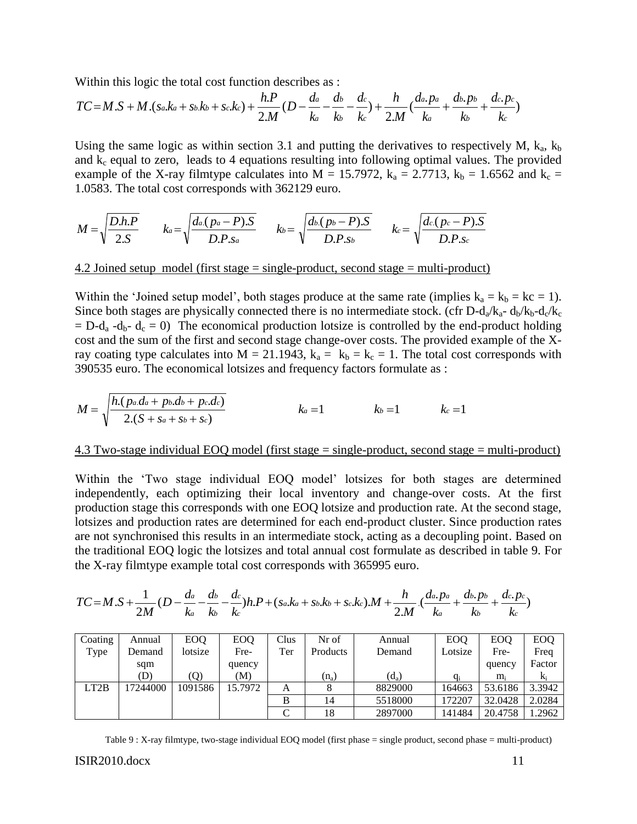Within this logic the total cost function describes as :

$$
TC = M.S + M.(s_a.k_a + s_b.k_b + s_c.k_c) + \frac{h.P}{2.M}(D - \frac{da}{k_a} - \frac{db}{k_b} - \frac{dc}{k_c}) + \frac{h}{2.M}(\frac{da.p_a}{k_a} + \frac{db.p_b}{k_b} + \frac{dc.p_c}{k_c})
$$

Using the same logic as within section 3.1 and putting the derivatives to respectively M,  $k_a$ ,  $k_b$ and  $k<sub>c</sub>$  equal to zero, leads to 4 equations resulting into following optimal values. The provided example of the X-ray filmtype calculates into M = 15.7972,  $k_a = 2.7713$ ,  $k_b = 1.6562$  and  $k_c =$ 1.0583. The total cost corresponds with 362129 euro.

$$
M = \sqrt{\frac{D.h.P}{2.S}} \qquad k_a = \sqrt{\frac{d_a(p_a - P).S}{D.P.s_a}} \qquad k_b = \sqrt{\frac{d_b(p_b - P).S}{D.P.s_b}} \qquad k_c = \sqrt{\frac{d_c(p_c - P).S}{D.P.s_c}}
$$

4.2 Joined setup model (first stage = single-product, second stage = multi-product)

Within the 'Joined setup model', both stages produce at the same rate (implies  $k_a = k_b = kc = 1$ ). Since both stages are physically connected there is no intermediate stock. (cfr D-d<sub>a</sub>/k<sub>a</sub>- d<sub>b</sub>/k<sub>b</sub>-d<sub>c</sub>/k<sub>c</sub>  $= D-d_a -d_b - d_c = 0$ ) The economical production lotsize is controlled by the end-product holding cost and the sum of the first and second stage change-over costs. The provided example of the Xray coating type calculates into  $M = 21.1943$ ,  $k_a = k_b = k_c = 1$ . The total cost corresponds with 390535 euro. The economical lotsizes and frequency factors formulate as :

$$
M = \sqrt{\frac{h(p_a.d_a + p_b.d_b + p_c.d_c)}{2.(S + s_a + s_b + s_c)}}
$$
   
  $k_a = 1$    
  $k_b = 1$    
  $k_c = 1$ 

#### 4.3 Two-stage individual EOQ model (first stage = single-product, second stage = multi-product)

Within the "Two stage individual EOQ model" lotsizes for both stages are determined independently, each optimizing their local inventory and change-over costs. At the first production stage this corresponds with one EOQ lotsize and production rate. At the second stage, lotsizes and production rates are determined for each end-product cluster. Since production rates are not synchronised this results in an intermediate stock, acting as a decoupling point. Based on the traditional EOQ logic the lotsizes and total annual cost formulate as described in table 9. For the X-ray filmtype example total cost corresponds with 365995 euro.

$$
TC=M.S+\frac{1}{2M}(D-\frac{da}{ka}-\frac{db}{kb}-\frac{dc}{kc})h.P+(s_a.k_a+s_b.k_b+s_c.k_c).M+\frac{h}{2.M}.\frac{(da.p_a}{ka}+\frac{db.p_b}{kb}+\frac{dc.p_c}{kc})
$$

| Coating | Annual   | <b>EOQ</b> | <b>EOO</b> | Clus | Nr of    | Annual  | <b>EOO</b> | <b>EOO</b> | <b>EOQ</b> |
|---------|----------|------------|------------|------|----------|---------|------------|------------|------------|
| Type    | Demand   | lotsize    | Fre-       | Ter  | Products | Demand  | Lotsize    | Fre-       | Freq       |
|         | sqm      |            | quency     |      |          |         |            | quency     | Factor     |
|         | (D)      | (O)        | M)         |      | $(n_a)$  | $(d_a)$ | $q_i$      | m,         | $K_i$      |
| LT2B    | 17244000 | 1091586    | 15.7972    | A    |          | 8829000 | 164663     | 53.6186    | 3.3942     |
|         |          |            |            | B    | 14       | 5518000 | 172207     | 32.0428    | 2.0284     |
|         |          |            |            |      | 18       | 2897000 | 141484     | 20.4758    | .2962      |

Table 9 : X-ray filmtype, two-stage individual EOQ model (first phase = single product, second phase = multi-product)

#### ISIR2010.docx 11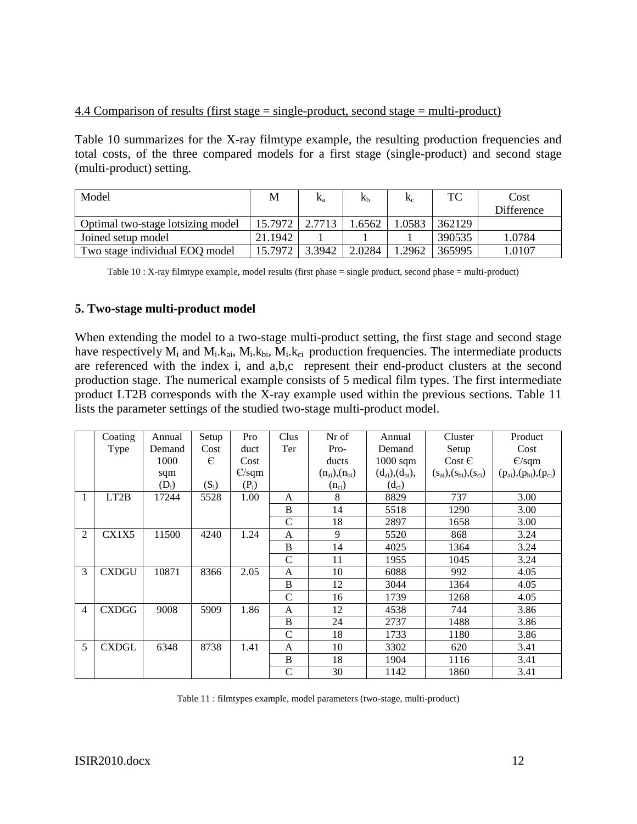## 4.4 Comparison of results (first stage = single-product, second stage = multi-product)

Table 10 summarizes for the X-ray filmtype example, the resulting production frequencies and total costs, of the three compared models for a first stage (single-product) and second stage (multi-product) setting.

| Model                             | M       | K <sub>a</sub> | Кh     | $K_c$  | ТC     | Cost       |
|-----------------------------------|---------|----------------|--------|--------|--------|------------|
|                                   |         |                |        |        |        | Difference |
| Optimal two-stage lotsizing model | 15.7972 | 2.7713         | .6562  | 1.0583 | 362129 |            |
| Joined setup model                | 21.1942 |                |        |        | 390535 | 1.0784     |
| Two stage individual EOQ model    | 15.7972 | 3.3942         | 2.0284 | 1.2962 | 365995 | 1.0107     |

Table 10 : X-ray filmtype example, model results (first phase = single product, second phase = multi-product)

# **5. Two-stage multi-product model**

When extending the model to a two-stage multi-product setting, the first stage and second stage have respectively  $M_i$  and  $M_i$ ,  $k_{ai}$ ,  $M_i$ ,  $k_{bi}$ ,  $M_i$ ,  $k_{ci}$  production frequencies. The intermediate products are referenced with the index i, and a,b,c represent their end-product clusters at the second production stage. The numerical example consists of 5 medical film types. The first intermediate product LT2B corresponds with the X-ray example used within the previous sections. Table 11 lists the parameter settings of the studied two-stage multi-product model.

|                | Coating           | Annual  | Setup   | Pro     | Clus          | Nr of                   | Annual                    | Cluster                              | Product                              |
|----------------|-------------------|---------|---------|---------|---------------|-------------------------|---------------------------|--------------------------------------|--------------------------------------|
|                | Type              | Demand  | Cost    | duct    | Ter           | Pro-                    | Demand                    | Setup                                | Cost                                 |
|                |                   | 1000    | €       | Cost    |               | ducts                   | $1000$ sqm                | $Cost \in$                           | E/sqm                                |
|                |                   | sqm     |         | E/sqm   |               | $(n_{ai})$ , $(n_{bi})$ | $(d_{ai})$ , $(d_{bi})$ , | $(s_{ai})$ , $(s_{bi})$ , $(s_{ci})$ | $(p_{ai})$ , $(p_{bi})$ , $(p_{ci})$ |
|                |                   | $(D_i)$ | $(S_i)$ | $(P_i)$ |               | $(n_{ci})$              | $(d_{ci})$                |                                      |                                      |
| 1              | LT <sub>2</sub> B | 17244   | 5528    | 1.00    | $\mathsf{A}$  | 8                       | 8829                      | 737                                  | 3.00                                 |
|                |                   |         |         |         | B             | 14                      | 5518                      | 1290                                 | 3.00                                 |
|                |                   |         |         |         | $\mathbf C$   | 18                      | 2897                      | 1658                                 | 3.00                                 |
| $\overline{2}$ | CX1X5             | 11500   | 4240    | 1.24    | A             | 9                       | 5520                      | 868                                  | 3.24                                 |
|                |                   |         |         |         | $\, {\bf B}$  | 14                      | 4025                      | 1364                                 | 3.24                                 |
|                |                   |         |         |         | $\mathcal{C}$ | 11                      | 1955                      | 1045                                 | 3.24                                 |
| 3              | <b>CXDGU</b>      | 10871   | 8366    | 2.05    | $\mathsf{A}$  | 10                      | 6088                      | 992                                  | 4.05                                 |
|                |                   |         |         |         | B             | 12                      | 3044                      | 1364                                 | 4.05                                 |
|                |                   |         |         |         | $\mathcal{C}$ | 16                      | 1739                      | 1268                                 | 4.05                                 |
| 4              | <b>CXDGG</b>      | 9008    | 5909    | 1.86    | $\mathsf{A}$  | 12                      | 4538                      | 744                                  | 3.86                                 |
|                |                   |         |         |         | B             | 24                      | 2737                      | 1488                                 | 3.86                                 |
|                |                   |         |         |         | $\mathcal{C}$ | 18                      | 1733                      | 1180                                 | 3.86                                 |
| 5              | <b>CXDGL</b>      | 6348    | 8738    | 1.41    | A             | 10                      | 3302                      | 620                                  | 3.41                                 |
|                |                   |         |         |         | B             | 18                      | 1904                      | 1116                                 | 3.41                                 |
|                |                   |         |         |         | $\mathsf{C}$  | 30                      | 1142                      | 1860                                 | 3.41                                 |

Table 11 : filmtypes example, model parameters (two-stage, multi-product)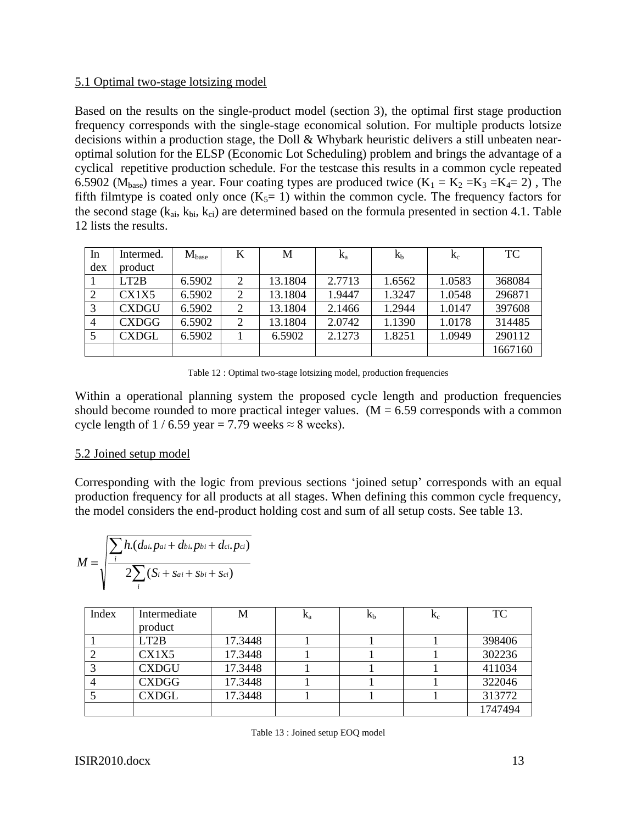#### 5.1 Optimal two-stage lotsizing model

Based on the results on the single-product model (section 3), the optimal first stage production frequency corresponds with the single-stage economical solution. For multiple products lotsize decisions within a production stage, the Doll & Whybark heuristic delivers a still unbeaten nearoptimal solution for the ELSP (Economic Lot Scheduling) problem and brings the advantage of a cyclical repetitive production schedule. For the testcase this results in a common cycle repeated 6.5902 ( $M<sub>base</sub>$ ) times a year. Four coating types are produced twice ( $K_1 = K_2 = K_3 = K_4 = 2$ ), The fifth filmtype is coated only once  $(K_5=1)$  within the common cycle. The frequency factors for the second stage  $(k_{ai}, k_{bi}, k_{ci})$  are determined based on the formula presented in section 4.1. Table 12 lists the results.

| In             | Intermed.         | $M_{base}$ | K              | M       | $K_{a}$ | $K_b$  | $K_c$  | <b>TC</b> |
|----------------|-------------------|------------|----------------|---------|---------|--------|--------|-----------|
| dex            | product           |            |                |         |         |        |        |           |
|                | LT <sub>2</sub> B | 6.5902     |                | 13.1804 | 2.7713  | 1.6562 | 1.0583 | 368084    |
|                | CX1X5             | 6.5902     | $\overline{2}$ | 13.1804 | 1.9447  | 1.3247 | 1.0548 | 296871    |
|                | <b>CXDGU</b>      | 6.5902     | 2              | 13.1804 | 2.1466  | 1.2944 | 1.0147 | 397608    |
| $\overline{4}$ | <b>CXDGG</b>      | 6.5902     | $\overline{2}$ | 13.1804 | 2.0742  | 1.1390 | 1.0178 | 314485    |
|                | <b>CXDGL</b>      | 6.5902     |                | 6.5902  | 2.1273  | 1.8251 | 1.0949 | 290112    |
|                |                   |            |                |         |         |        |        | 1667160   |

Table 12 : Optimal two-stage lotsizing model, production frequencies

Within a operational planning system the proposed cycle length and production frequencies should become rounded to more practical integer values. ( $M = 6.59$  corresponds with a common cycle length of  $1/6.59$  year = 7.79 weeks  $\approx 8$  weeks).

### 5.2 Joined setup model

Corresponding with the logic from previous sections "joined setup" corresponds with an equal production frequency for all products at all stages. When defining this common cycle frequency, the model considers the end-product holding cost and sum of all setup costs. See table 13.

$$
M = \sqrt{\frac{\sum_{i} h.(da_i, p_{ai} + d_{bi}, p_{bi} + d_{ci}, p_{ci})}{2 \sum_{i} (S_i + S_{ai} + S_{bi} + S_{ci})}}
$$

| Index | Intermediate | M       | $K_a$ | $K_b$ | $K_c$ | TC      |
|-------|--------------|---------|-------|-------|-------|---------|
|       | product      |         |       |       |       |         |
|       | LT2B         | 17.3448 |       |       |       | 398406  |
|       | CX1X5        | 17.3448 |       |       |       | 302236  |
|       | <b>CXDGU</b> | 17.3448 |       |       |       | 411034  |
|       | <b>CXDGG</b> | 17.3448 |       |       |       | 322046  |
|       | <b>CXDGL</b> | 17.3448 |       |       |       | 313772  |
|       |              |         |       |       |       | 1747494 |

Table 13 : Joined setup EOQ model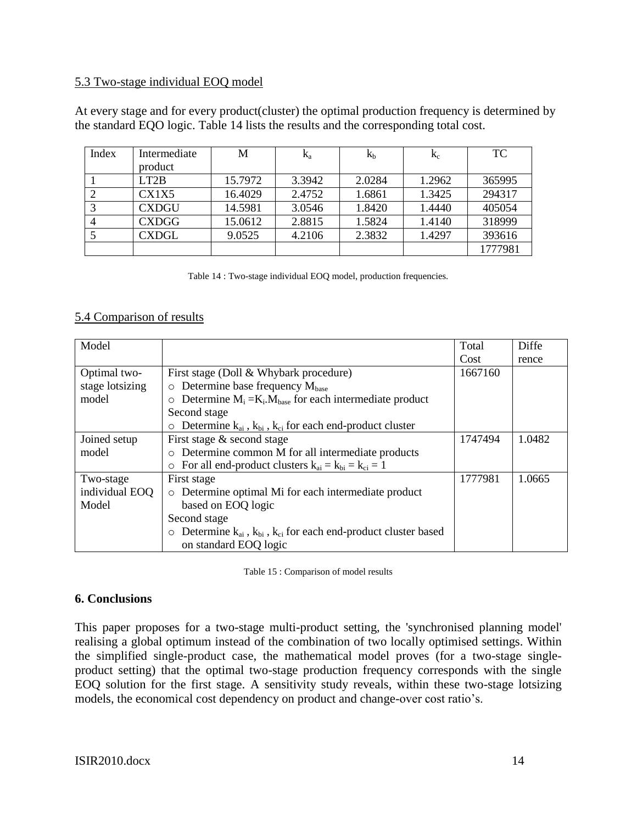#### 5.3 Two-stage individual EOQ model

At every stage and for every product(cluster) the optimal production frequency is determined by the standard EQO logic. Table 14 lists the results and the corresponding total cost.

| Index | Intermediate | M       | $K_a$  | Кb     | $K_c$  | <b>TC</b> |
|-------|--------------|---------|--------|--------|--------|-----------|
|       | product      |         |        |        |        |           |
|       | LT2B         | 15.7972 | 3.3942 | 2.0284 | 1.2962 | 365995    |
|       | CX1X5        | 16.4029 | 2.4752 | 1.6861 | 1.3425 | 294317    |
|       | <b>CXDGU</b> | 14.5981 | 3.0546 | 1.8420 | 1.4440 | 405054    |
|       | CXDGG        | 15.0612 | 2.8815 | 1.5824 | 1.4140 | 318999    |
|       | CXDGL        | 9.0525  | 4.2106 | 2.3832 | 1.4297 | 393616    |
|       |              |         |        |        |        | 1777981   |

Table 14 : Two-stage individual EOQ model, production frequencies.

### 5.4 Comparison of results

| Model           |                                                                                     | Total   | Diffe  |
|-----------------|-------------------------------------------------------------------------------------|---------|--------|
|                 |                                                                                     | Cost    | rence  |
| Optimal two-    | First stage (Doll & Whybark procedure)                                              | 1667160 |        |
| stage lotsizing | $\circ$ Determine base frequency $M_{base}$                                         |         |        |
| model           | Determine $M_i = K_i \cdot M_{base}$ for each intermediate product<br>$\circ$       |         |        |
|                 | Second stage                                                                        |         |        |
|                 | $\circ$ Determine $k_{ai}$ , $k_{bi}$ , $k_{ci}$ for each end-product cluster       |         |        |
| Joined setup    | First stage & second stage                                                          | 1747494 | 1.0482 |
| model           | o Determine common M for all intermediate products                                  |         |        |
|                 | $\circ$ For all end-product clusters $k_{ai} = k_{bi} = k_{ci} = 1$                 |         |        |
| Two-stage       | First stage                                                                         | 1777981 | 1.0665 |
| individual EOQ  | Determine optimal Mi for each intermediate product<br>$\circ$                       |         |        |
| Model           | based on EOQ logic                                                                  |         |        |
|                 | Second stage                                                                        |         |        |
|                 | $\circ$ Determine $k_{ai}$ , $k_{bi}$ , $k_{ci}$ for each end-product cluster based |         |        |
|                 | on standard EOQ logic                                                               |         |        |

Table 15 : Comparison of model results

### **6. Conclusions**

This paper proposes for a two-stage multi-product setting, the 'synchronised planning model' realising a global optimum instead of the combination of two locally optimised settings. Within the simplified single-product case, the mathematical model proves (for a two-stage singleproduct setting) that the optimal two-stage production frequency corresponds with the single EOQ solution for the first stage. A sensitivity study reveals, within these two-stage lotsizing models, the economical cost dependency on product and change-over cost ratio's.